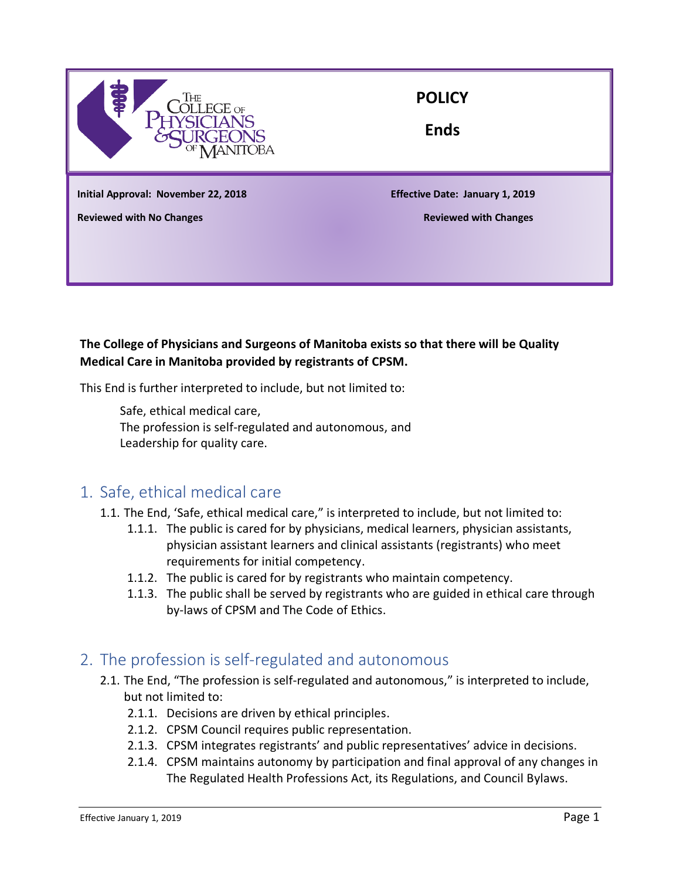

### **POLICY**

**Ends**

**Initial Approval: November 22, 2018 Effective Date: January 1, 2019**

**Reviewed with No Changes Reviewed with Changes**

#### **The College of Physicians and Surgeons of Manitoba exists so that there will be Quality Medical Care in Manitoba provided by registrants of CPSM.**

This End is further interpreted to include, but not limited to:

Safe, ethical medical care, The profession is self-regulated and autonomous, and Leadership for quality care.

## 1. Safe, ethical medical care

- 1.1. The End, 'Safe, ethical medical care," is interpreted to include, but not limited to:
	- 1.1.1. The public is cared for by physicians, medical learners, physician assistants, physician assistant learners and clinical assistants (registrants) who meet requirements for initial competency.
	- 1.1.2. The public is cared for by registrants who maintain competency.
	- 1.1.3. The public shall be served by registrants who are guided in ethical care through by-laws of CPSM and The Code of Ethics.

#### 2. The profession is self-regulated and autonomous

- 2.1. The End, "The profession is self-regulated and autonomous," is interpreted to include, but not limited to:
	- 2.1.1. Decisions are driven by ethical principles.
	- 2.1.2. CPSM Council requires public representation.
	- 2.1.3. CPSM integrates registrants' and public representatives' advice in decisions.
	- 2.1.4. CPSM maintains autonomy by participation and final approval of any changes in The Regulated Health Professions Act, its Regulations, and Council Bylaws.